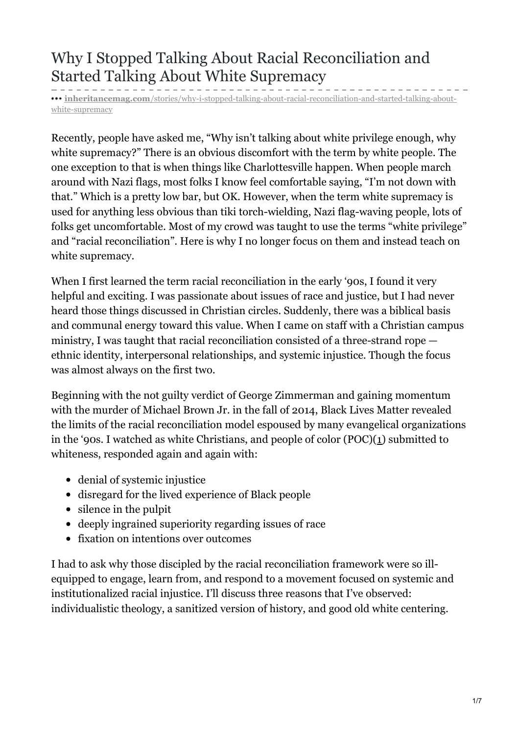# Why I Stopped Talking About Racial Reconciliation and Started Talking About White Supremacy

**inheritancemag.com**[/stories/why-i-stopped-talking-about-racial-reconciliation-and-started-talking-about](https://www.inheritancemag.com/stories/why-i-stopped-talking-about-racial-reconciliation-and-started-talking-about-white-supremacy)white-supremacy

Recently, people have asked me, "Why isn't talking about white privilege enough, why white supremacy?" There is an obvious discomfort with the term by white people. The one exception to that is when things like Charlottesville happen. When people march around with Nazi flags, most folks I know feel comfortable saying, "I'm not down with that." Which is a pretty low bar, but OK. However, when the term white supremacy is used for anything less obvious than tiki torch-wielding, Nazi flag-waving people, lots of folks get uncomfortable. Most of my crowd was taught to use the terms "white privilege" and "racial reconciliation". Here is why I no longer focus on them and instead teach on white supremacy.

When I first learned the term racial reconciliation in the early '90s, I found it very helpful and exciting. I was passionate about issues of race and justice, but I had never heard those things discussed in Christian circles. Suddenly, there was a biblical basis and communal energy toward this value. When I came on staff with a Christian campus ministry, I was taught that racial reconciliation consisted of a three-strand rope ethnic identity, interpersonal relationships, and systemic injustice. Though the focus was almost always on the first two.

Beginning with the not guilty verdict of George Zimmerman and gaining momentum with the murder of Michael Brown Jr. in the fall of 2014, Black Lives Matter revealed the limits of the racial reconciliation model espoused by many evangelical organizations in the '90s. I watched as white Christians, and people of color  $(POC)(1)$  submitted to whiteness, responded again and again with:

- denial of systemic injustice
- disregard for the lived experience of Black people
- silence in the pulpit
- deeply ingrained superiority regarding issues of race
- fixation on intentions over outcomes

I had to ask why those discipled by the racial reconciliation framework were so illequipped to engage, learn from, and respond to a movement focused on systemic and institutionalized racial injustice. I'll discuss three reasons that I've observed: individualistic theology, a sanitized version of history, and good old white centering.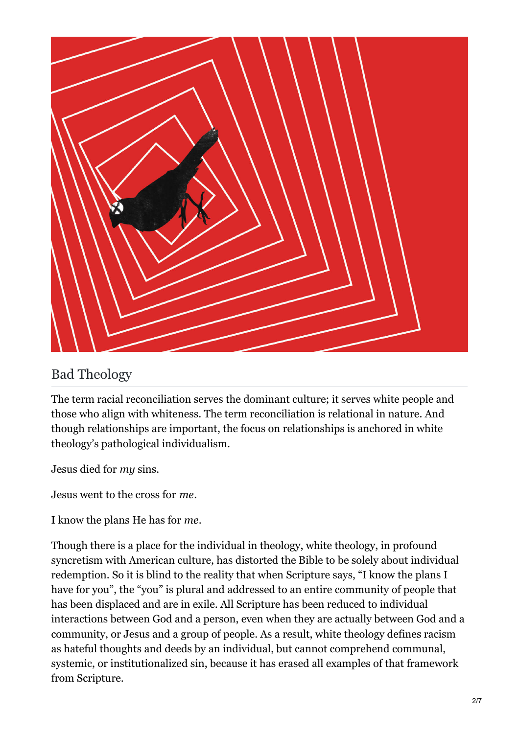

### Bad Theology

The term racial reconciliation serves the dominant culture; it serves white people and those who align with whiteness. The term reconciliation is relational in nature. And though relationships are important, the focus on relationships is anchored in white theology's pathological individualism.

Jesus died for *my* sins.

Jesus went to the cross for *me*.

I know the plans He has for *me*.

Though there is a place for the individual in theology, white theology, in profound syncretism with American culture, has distorted the Bible to be solely about individual redemption. So it is blind to the reality that when Scripture says, "I know the plans I have for you", the "you" is plural and addressed to an entire community of people that has been displaced and are in exile. All Scripture has been reduced to individual interactions between God and a person, even when they are actually between God and a community, or Jesus and a group of people. As a result, white theology defines racism as hateful thoughts and deeds by an individual, but cannot comprehend communal, systemic, or institutionalized sin, because it has erased all examples of that framework from Scripture.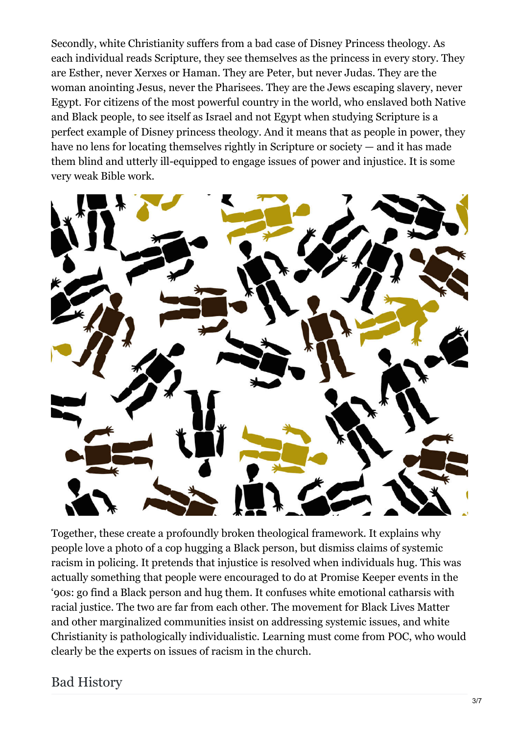Secondly, white Christianity suffers from a bad case of Disney Princess theology. As each individual reads Scripture, they see themselves as the princess in every story. They are Esther, never Xerxes or Haman. They are Peter, but never Judas. They are the woman anointing Jesus, never the Pharisees. They are the Jews escaping slavery, never Egypt. For citizens of the most powerful country in the world, who enslaved both Native and Black people, to see itself as Israel and not Egypt when studying Scripture is a perfect example of Disney princess theology. And it means that as people in power, they have no lens for locating themselves rightly in Scripture or society — and it has made them blind and utterly ill-equipped to engage issues of power and injustice. It is some very weak Bible work.



Together, these create a profoundly broken theological framework. It explains why people love a photo of a cop hugging a Black person, but dismiss claims of systemic racism in policing. It pretends that injustice is resolved when individuals hug. This was actually something that people were encouraged to do at Promise Keeper events in the '90s: go find a Black person and hug them. It confuses white emotional catharsis with racial justice. The two are far from each other. The movement for Black Lives Matter and other marginalized communities insist on addressing systemic issues, and white Christianity is pathologically individualistic. Learning must come from POC, who would clearly be the experts on issues of racism in the church.

#### Bad History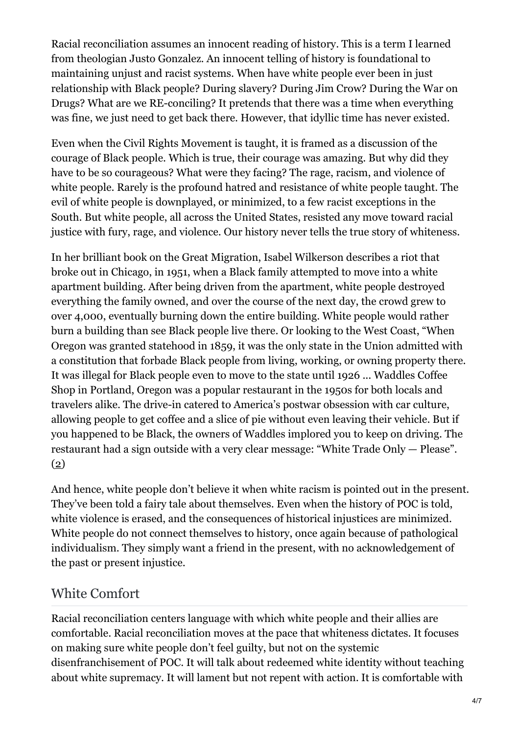Racial reconciliation assumes an innocent reading of history. This is a term I learned from theologian Justo Gonzalez. An innocent telling of history is foundational to maintaining unjust and racist systems. When have white people ever been in just relationship with Black people? During slavery? During Jim Crow? During the War on Drugs? What are we RE-conciling? It pretends that there was a time when everything was fine, we just need to get back there. However, that idyllic time has never existed.

Even when the Civil Rights Movement is taught, it is framed as a discussion of the courage of Black people. Which is true, their courage was amazing. But why did they have to be so courageous? What were they facing? The rage, racism, and violence of white people. Rarely is the profound hatred and resistance of white people taught. The evil of white people is downplayed, or minimized, to a few racist exceptions in the South. But white people, all across the United States, resisted any move toward racial justice with fury, rage, and violence. Our history never tells the true story of whiteness.

In her brilliant book on the Great Migration, Isabel Wilkerson describes a riot that broke out in Chicago, in 1951, when a Black family attempted to move into a white apartment building. After being driven from the apartment, white people destroyed everything the family owned, and over the course of the next day, the crowd grew to over 4,000, eventually burning down the entire building. White people would rather burn a building than see Black people live there. Or looking to the West Coast, "When Oregon was granted statehood in 1859, it was the only state in the Union admitted with a constitution that forbade Black people from living, working, or owning property there. It was illegal for Black people even to move to the state until 1926 ... Waddles Coffee Shop in Portland, Oregon was a popular restaurant in the 1950s for both locals and travelers alike. The drive-in catered to America's postwar obsession with car culture, allowing people to get coffee and a slice of pie without even leaving their vehicle. But if you happened to be Black, the owners of Waddles implored you to keep on driving. The restaurant had a sign outside with a very clear message: "White Trade Only — Please". (2)

And hence, white people don't believe it when white racism is pointed out in the present. They've been told a fairy tale about themselves. Even when the history of POC is told, white violence is erased, and the consequences of historical injustices are minimized. White people do not connect themselves to history, once again because of pathological individualism. They simply want a friend in the present, with no acknowledgement of the past or present injustice.

## White Comfort

Racial reconciliation centers language with which white people and their allies are comfortable. Racial reconciliation moves at the pace that whiteness dictates. It focuses on making sure white people don't feel guilty, but not on the systemic disenfranchisement of POC. It will talk about redeemed white identity without teaching about white supremacy. It will lament but not repent with action. It is comfortable with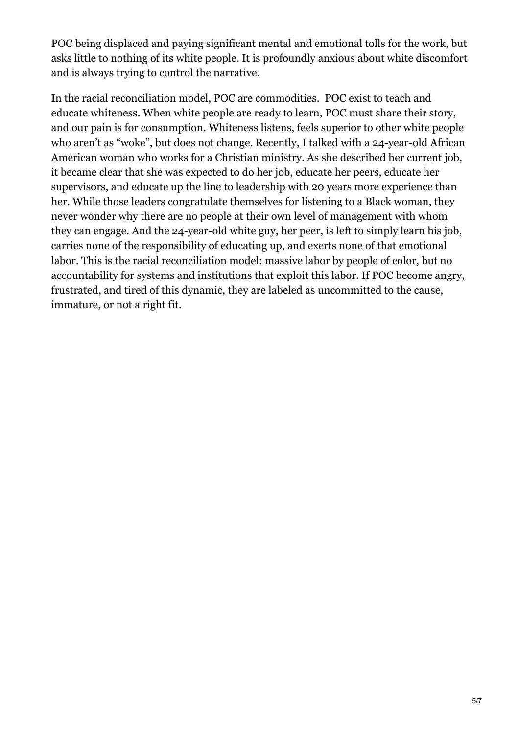POC being displaced and paying significant mental and emotional tolls for the work, but asks little to nothing of its white people. It is profoundly anxious about white discomfort and is always trying to control the narrative.

In the racial reconciliation model, POC are commodities. POC exist to teach and educate whiteness. When white people are ready to learn, POC must share their story, and our pain is for consumption. Whiteness listens, feels superior to other white people who aren't as "woke", but does not change. Recently, I talked with a 24-year-old African American woman who works for a Christian ministry. As she described her current job, it became clear that she was expected to do her job, educate her peers, educate her supervisors, and educate up the line to leadership with 20 years more experience than her. While those leaders congratulate themselves for listening to a Black woman, they never wonder why there are no people at their own level of management with whom they can engage. And the 24-year-old white guy, her peer, is left to simply learn his job, carries none of the responsibility of educating up, and exerts none of that emotional labor. This is the racial reconciliation model: massive labor by people of color, but no accountability for systems and institutions that exploit this labor. If POC become angry, frustrated, and tired of this dynamic, they are labeled as uncommitted to the cause, immature, or not a right fit.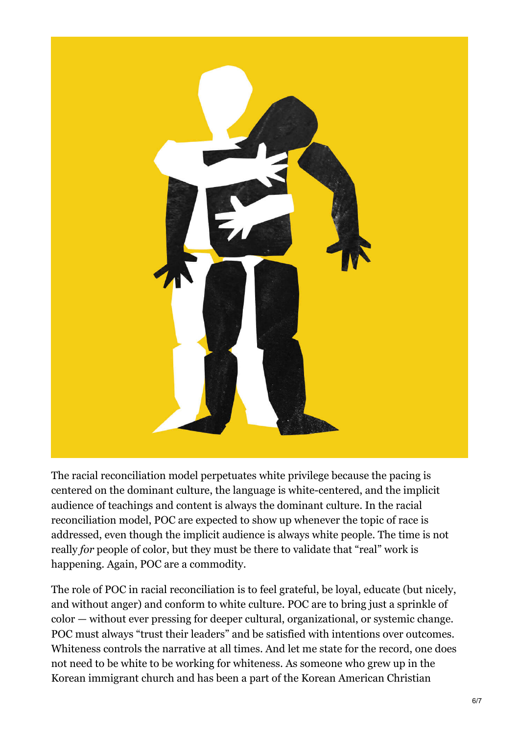

The racial reconciliation model perpetuates white privilege because the pacing is centered on the dominant culture, the language is white-centered, and the implicit audience of teachings and content is always the dominant culture. In the racial reconciliation model, POC are expected to show up whenever the topic of race is addressed, even though the implicit audience is always white people. The time is not really *for* people of color, but they must be there to validate that "real" work is happening. Again, POC are a commodity.

The role of POC in racial reconciliation is to feel grateful, be loyal, educate (but nicely, and without anger) and conform to white culture. POC are to bring just a sprinkle of color — without ever pressing for deeper cultural, organizational, or systemic change. POC must always "trust their leaders" and be satisfied with intentions over outcomes. Whiteness controls the narrative at all times. And let me state for the record, one does not need to be white to be working for whiteness. As someone who grew up in the Korean immigrant church and has been a part of the Korean American Christian